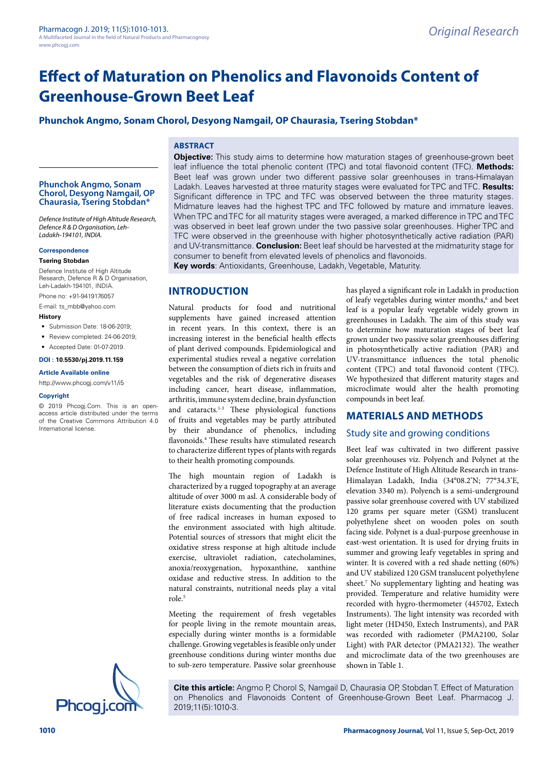# **Phunchok Angmo, Sonam Chorol, Desyong Namgail, OP Chaurasia, Tsering Stobdan\***

## **ABSTRACT**

#### **Phunchok Angmo, Sonam Chorol, Desyong Namgail, OP Chaurasia, Tsering Stobdan\***

*Defence Institute of High Altitude Research, Defence R & D Organisation, Leh-Ladakh-194101, INDIA.*

#### **Correspondence**

#### **Tsering Stobdan**

Defence Institute of High Altitude Research, Defence R & D Organisation, Leh-Ladakh-194101, INDIA.

Phone no: +91-9419176057

E-mail: [ts\\_mbb@yahoo.com](mailto:ts_mbb@yahoo.com)

#### **History**

- Submission Date: 18-06-2019;
- Review completed: 24-06-2019;
- Accepted Date: 01-07-2019.

#### **DOI : 10.5530/pj.2019.11.159**

#### **Article Available online**

[http://www.phcogj.com/v11/i](http://www.phcogj.com/v11/i3)5

#### **Copyright**

© 2019 Phcogj.Com. This is an openaccess article distributed under the terms of the Creative Commons Attribution 4.0 International license.



**Objective:** This study aims to determine how maturation stages of greenhouse-grown beet leaf influence the total phenolic content (TPC) and total flavonoid content (TFC). **Methods:**  Beet leaf was grown under two different passive solar greenhouses in trans-Himalayan Ladakh. Leaves harvested at three maturity stages were evaluated for TPC and TFC. **Results:**  Significant difference in TPC and TFC was observed between the three maturity stages. Midmature leaves had the highest TPC and TFC followed by mature and immature leaves. When TPC and TFC for all maturity stages were averaged, a marked difference in TPC and TFC was observed in beet leaf grown under the two passive solar greenhouses. Higher TPC and TFC were observed in the greenhouse with higher photosynthetically active radiation (PAR) and UV-transmittance. **Conclusion:** Beet leaf should be harvested at the midmaturity stage for consumer to benefit from elevated levels of phenolics and flavonoids.

**Key words**: Antioxidants, Greenhouse, Ladakh, Vegetable, Maturity.

# **INTRODUCTION**

Natural products for food and nutritional supplements have gained increased attention in recent years. In this context, there is an increasing interest in the beneficial health effects of plant derived compounds. Epidemiological and experimental studies reveal a negative correlation between the consumption of diets rich in fruits and vegetables and the risk of degenerative diseases including cancer, heart disease, inflammation, arthritis, immune system decline, brain dysfunction and cataracts.1-3 These physiological functions of fruits and vegetables may be partly attributed by their abundance of phenolics, including flavonoids.4 These results have stimulated research to characterize different types of plants with regards to their health promoting compounds.

The high mountain region of Ladakh is characterized by a rugged topography at an average altitude of over 3000 m asl. A considerable body of literature exists documenting that the production of free radical increases in human exposed to the environment associated with high altitude. Potential sources of stressors that might elicit the oxidative stress response at high altitude include exercise, ultraviolet radiation, catecholamines, anoxia/reoxygenation, hypoxanthine, xanthine oxidase and reductive stress. In addition to the natural constraints, nutritional needs play a vital role.5

Meeting the requirement of fresh vegetables for people living in the remote mountain areas, especially during winter months is a formidable challenge. Growing vegetables is feasible only under greenhouse conditions during winter months due to sub-zero temperature. Passive solar greenhouse has played a significant role in Ladakh in production of leafy vegetables during winter months,<sup>6</sup> and beet leaf is a popular leafy vegetable widely grown in greenhouses in Ladakh. The aim of this study was to determine how maturation stages of beet leaf grown under two passive solar greenhouses differing in photosynthetically active radiation (PAR) and UV-transmittance influences the total phenolic content (TPC) and total flavonoid content (TFC). We hypothesized that different maturity stages and microclimate would alter the health promoting compounds in beet leaf.

# **MATERIALS AND METHODS**

#### Study site and growing conditions

Beet leaf was cultivated in two different passive solar greenhouses viz. Polyench and Polynet at the Defence Institute of High Altitude Research in trans-Himalayan Ladakh, India (34°08.2'N; 77°34.3'E, elevation 3340 m). Polyench is a semi-underground passive solar greenhouse covered with UV stabilized 120 grams per square meter (GSM) translucent polyethylene sheet on wooden poles on south facing side. Polynet is a dual-purpose greenhouse in east-west orientation. It is used for drying fruits in summer and growing leafy vegetables in spring and winter. It is covered with a red shade netting (60%) and UV stabilized 120 GSM translucent polyethylene sheet.<sup>7</sup> No supplementary lighting and heating was provided. Temperature and relative humidity were recorded with hygro-thermometer (445702, Extech Instruments). The light intensity was recorded with light meter (HD450, Extech Instruments), and PAR was recorded with radiometer (PMA2100, Solar Light) with PAR detector (PMA2132). The weather and microclimate data of the two greenhouses are shown in Table 1.

**Cite this article:** Angmo P, Chorol S, Namgail D, Chaurasia OP, Stobdan T. Effect of Maturation on Phenolics and Flavonoids Content of Greenhouse-Grown Beet Leaf. Pharmacog J.<br>
2019;11(5):1010-3.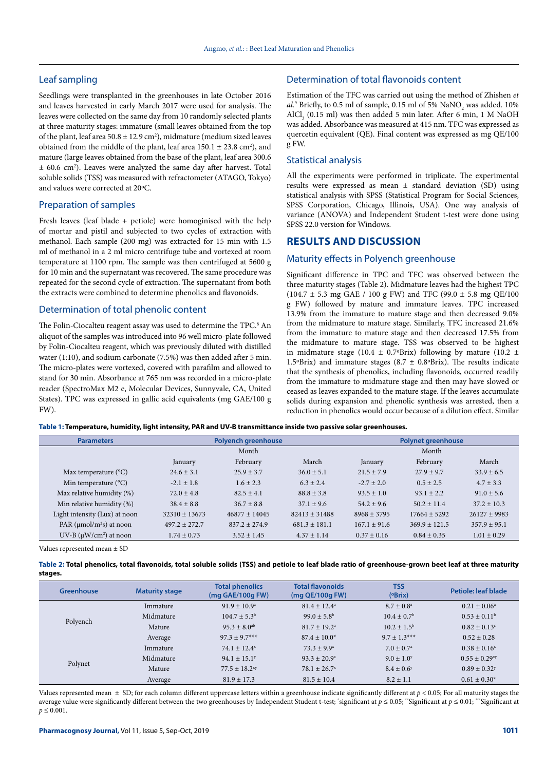# Leaf sampling

Seedlings were transplanted in the greenhouses in late October 2016 and leaves harvested in early March 2017 were used for analysis. The leaves were collected on the same day from 10 randomly selected plants at three maturity stages: immature (small leaves obtained from the top of the plant, leaf area  $50.8 \pm 12.9 \text{ cm}^2$ ), midmature (medium sized leaves obtained from the middle of the plant, leaf area  $150.1 \pm 23.8 \text{ cm}^2$ ), and mature (large leaves obtained from the base of the plant, leaf area 300.6 ± 60.6 cm2 ). Leaves were analyzed the same day after harvest. Total soluble solids (TSS) was measured with refractometer (ATAGO, Tokyo) and values were corrected at 20ºC.

## Preparation of samples

Fresh leaves (leaf blade + petiole) were homoginised with the help of mortar and pistil and subjected to two cycles of extraction with methanol. Each sample (200 mg) was extracted for 15 min with 1.5 ml of methanol in a 2 ml micro centrifuge tube and vortexed at room temperature at 1100 rpm. The sample was then centrifuged at 5600 g for 10 min and the supernatant was recovered. The same procedure was repeated for the second cycle of extraction. The supernatant from both the extracts were combined to determine phenolics and flavonoids.

#### Determination of total phenolic content

The Folin-Ciocalteu reagent assay was used to determine the TPC.<sup>8</sup> An aliquot of the samples was introduced into 96 well micro-plate followed by Folin-Ciocalteu reagent, which was previously diluted with distilled water (1:10), and sodium carbonate (7.5%) was then added after 5 min. The micro-plates were vortexed, covered with parafilm and allowed to stand for 30 min. Absorbance at 765 nm was recorded in a micro-plate reader (SpectroMax M2 e, Molecular Devices, Sunnyvale, CA, United States). TPC was expressed in gallic acid equivalents (mg GAE/100 g FW).

# Determination of total flavonoids content

Estimation of the TFC was carried out using the method of Zhishen *et al.*<sup>9</sup> Briefly, to 0.5 ml of sample, 0.15 ml of 5%  $\text{NaNO}_2$  was added. 10%  $\text{AlCl}_3$  (0.15 ml) was then added 5 min later. After 6 min, 1 M NaOH was added. Absorbance was measured at 415 nm. TFC was expressed as quercetin equivalent (QE). Final content was expressed as mg QE/100 g FW.

## Statistical analysis

All the experiments were performed in triplicate. The experimental results were expressed as mean ± standard deviation (SD) using statistical analysis with SPSS (Statistical Program for Social Sciences, SPSS Corporation, Chicago, Illinois, USA). One way analysis of variance (ANOVA) and Independent Student t-test were done using SPSS 22.0 version for Windows.

# **RESULTS AND DISCUSSION**

## Maturity effects in Polyench greenhouse

Significant difference in TPC and TFC was observed between the three maturity stages (Table 2). Midmature leaves had the highest TPC (104.7  $\pm$  5.3 mg GAE / 100 g FW) and TFC (99.0  $\pm$  5.8 mg QE/100 g FW) followed by mature and immature leaves. TPC increased 13.9% from the immature to mature stage and then decreased 9.0% from the midmature to mature stage. Similarly, TFC increased 21.6% from the immature to mature stage and then decreased 17.5% from the midmature to mature stage. TSS was observed to be highest in midmature stage (10.4  $\pm$  0.7°Brix) following by mature (10.2  $\pm$ 1.5°Brix) and immature stages (8.7  $\pm$  0.8°Brix). The results indicate that the synthesis of phenolics, including flavonoids, occurred readily from the immature to midmature stage and then may have slowed or ceased as leaves expanded to the mature stage. If the leaves accumulate solids during expansion and phenolic synthesis was arrested, then a reduction in phenolics would occur because of a dilution effect. Similar

| Table 1: Temperature, humidity, light intensity, PAR and UV-B transmittance inside two passive solar greenhouses. |  |
|-------------------------------------------------------------------------------------------------------------------|--|
|-------------------------------------------------------------------------------------------------------------------|--|

| <b>Parameters</b>                         | <b>Polyench greenhouse</b> |                 |                   | <b>Polynet greenhouse</b> |                 |                 |
|-------------------------------------------|----------------------------|-----------------|-------------------|---------------------------|-----------------|-----------------|
|                                           | Month                      |                 |                   | Month                     |                 |                 |
|                                           | January                    | February        | March             | January                   | February        | March           |
| Max temperature $(^{\circ}C)$             | $24.6 \pm 3.1$             | $25.9 + 3.7$    | $36.0 \pm 5.1$    | $21.5 + 7.9$              | $27.9 + 9.7$    | $33.9 + 6.5$    |
| Min temperature $(^{\circ}C)$             | $-2.1 \pm 1.8$             | $1.6 + 2.3$     | $6.3 + 2.4$       | $-2.7 \pm 2.0$            | $0.5 + 2.5$     | $4.7 + 3.3$     |
| Max relative humidity (%)                 | $72.0 \pm 4.8$             | $82.5 + 4.1$    | $88.8 + 3.8$      | $93.5 \pm 1.0$            | $93.1 \pm 2.2$  | $91.0 \pm 5.6$  |
| Min relative humidity (%)                 | $38.4 \pm 8.8$             | $36.7 + 8.8$    | $37.1 + 9.6$      | $54.2 + 9.6$              | $50.2 \pm 11.4$ | $37.2 \pm 10.3$ |
| Light intensity (Lux) at noon             | $32310 + 13673$            | $46877 + 14045$ | $82413 + 31488$   | $8968 + 3795$             | $17664 + 5292$  | $26127 + 9983$  |
| PAR ( $\mu$ mol/m <sup>2</sup> s) at noon | $497.2 + 272.7$            | $837.2 + 274.9$ | $681.3 \pm 181.1$ | $167.1 + 91.6$            | $369.9 + 121.5$ | $357.9 + 95.1$  |
| $UV-B (µW/cm2)$ at noon                   | $1.74 \pm 0.73$            | $3.52 \pm 1.45$ | $4.37 \pm 1.14$   | $0.37 \pm 0.16$           | $0.84 \pm 0.35$ | $1.01 \pm 0.29$ |

Values represented mean ± SD

|         | Table 2: Total phenolics, total flavonoids, total soluble solids (TSS) and petiole to leaf blade ratio of greenhouse-grown beet leaf at three maturity |  |  |
|---------|--------------------------------------------------------------------------------------------------------------------------------------------------------|--|--|
| stages. |                                                                                                                                                        |  |  |

| <b>Greenhouse</b> | <b>Maturity stage</b> | <b>Total phenolics</b><br>(mg GAE/100g FW) | <b>Total flavonoids</b><br>(mg QE/100g FW) | <b>TSS</b><br>(°Brix)       | Petiole: leaf blade           |
|-------------------|-----------------------|--------------------------------------------|--------------------------------------------|-----------------------------|-------------------------------|
| Polyench          | Immature              | $91.9 \pm 10.9^{\circ}$                    | $81.4 \pm 12.4^{\circ}$                    | $8.7 \pm 0.8^{\rm a}$       | $0.21 \pm 0.06^{\circ}$       |
|                   | Midmature             | $104.7 \pm 5.3^{\rm b}$                    | $99.0 \pm 5.8^{\rm b}$                     | $10.4 \pm 0.7$ <sup>b</sup> | $0.53 \pm 0.11^b$             |
|                   | Mature                | $95.3 \pm 8.0$ <sup>ab</sup>               | $81.7 \pm 19.2$ <sup>a</sup>               | $10.2 \pm 1.5^{\rm b}$      | $0.82 \pm 0.13$ <sup>c</sup>  |
|                   | Average               | $97.3 + 9.7***$                            | $87.4 \pm 10.0^*$                          | $9.7 \pm 1.3***$            | $0.52 \pm 0.28$               |
| Polynet           | Immature              | $74.1 \pm 12.4^x$                          | $73.3 + 9.9^x$                             | $7.0 \pm 0.7^x$             | $0.38 \pm 0.16^x$             |
|                   | Midmature             | $94.1 \pm 15.1^y$                          | $93.3 \pm 20.9^x$                          | $9.0 \pm 1.0^y$             | $0.55 \pm 0.29$ <sup>xy</sup> |
|                   | Mature                | $77.5 + 18.2$ <sup>xy</sup>                | $78.1 \pm 26.7^x$                          | $8.4 \pm 0.6^y$             | $0.89 \pm 0.32$ <sup>y</sup>  |
|                   | Average               | $81.9 \pm 17.3$                            | $81.5 \pm 10.4$                            | $8.2 \pm 1.1$               | $0.61 \pm 0.30*$              |

Values represented mean  $\pm$  SD; for each column different uppercase letters within a greenhouse indicate significantly different at  $p$  < 0.05; For all maturity stages the average value were significantly different between the two greenhouses by Independent Student t-test; \*significant at *p* ≤ 0.05; \*\*Significant at *p* ≤ 0.01; \*\*Significant at  $p \le 0.001$ .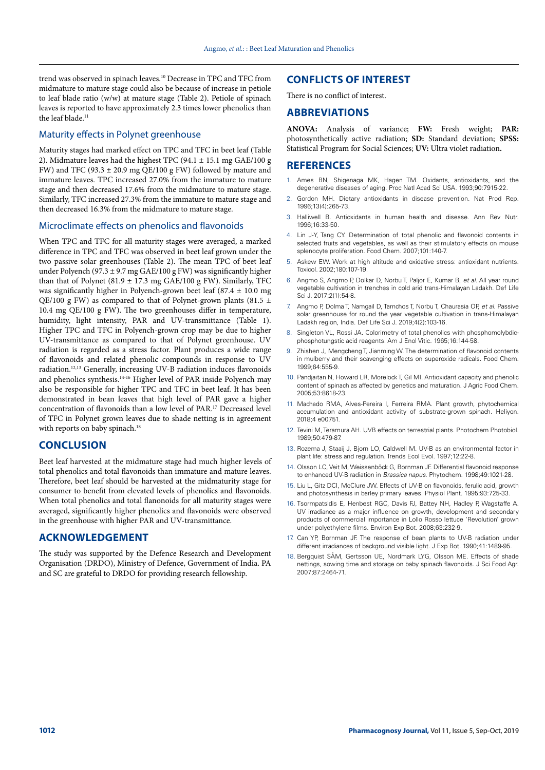trend was observed in spinach leaves.10 Decrease in TPC and TFC from midmature to mature stage could also be because of increase in petiole to leaf blade ratio (w/w) at mature stage (Table 2). Petiole of spinach leaves is reported to have approximately 2.3 times lower phenolics than the leaf blade.<sup>11</sup>

# Maturity effects in Polynet greenhouse

Maturity stages had marked effect on TPC and TFC in beet leaf (Table 2). Midmature leaves had the highest TPC (94.1  $\pm$  15.1 mg GAE/100 g FW) and TFC (93.3  $\pm$  20.9 mg QE/100 g FW) followed by mature and immature leaves. TPC increased 27.0% from the immature to mature stage and then decreased 17.6% from the midmature to mature stage. Similarly, TFC increased 27.3% from the immature to mature stage and then decreased 16.3% from the midmature to mature stage.

## Microclimate effects on phenolics and flavonoids

When TPC and TFC for all maturity stages were averaged, a marked difference in TPC and TFC was observed in beet leaf grown under the two passive solar greenhouses (Table 2). The mean TPC of beet leaf under Polyench (97.3 ± 9.7 mg GAE/100 g FW) was significantly higher than that of Polynet (81.9  $\pm$  17.3 mg GAE/100 g FW). Similarly, TFC was significantly higher in Polyench-grown beet leaf (87.4 ± 10.0 mg QE/100 g FW) as compared to that of Polynet-grown plants (81.5  $\pm$ 10.4 mg QE/100 g FW). The two greenhouses differ in temperature, humidity, light intensity, PAR and UV-transmittance (Table 1). Higher TPC and TFC in Polyench-grown crop may be due to higher UV-transmittance as compared to that of Polynet greenhouse. UV radiation is regarded as a stress factor. Plant produces a wide range of flavonoids and related phenolic compounds in response to UV radiation.12,13 Generally, increasing UV-B radiation induces flavonoids and phenolics synthesis.14-16 Higher level of PAR inside Polyench may also be responsible for higher TPC and TFC in beet leaf. It has been demonstrated in bean leaves that high level of PAR gave a higher concentration of flavonoids than a low level of PAR.17 Decreased level of TFC in Polynet grown leaves due to shade netting is in agreement with reports on baby spinach.<sup>18</sup>

# **CONCLUSION**

Beet leaf harvested at the midmature stage had much higher levels of total phenolics and total flavonoids than immature and mature leaves. Therefore, beet leaf should be harvested at the midmaturity stage for consumer to benefit from elevated levels of phenolics and flavonoids. When total phenolics and total flanonoids for all maturity stages were averaged, significantly higher phenolics and flavonoids were observed in the greenhouse with higher PAR and UV-transmittance.

# **ACKNOWLEDGEMENT**

The study was supported by the Defence Research and Development Organisation (DRDO), Ministry of Defence, Government of India. PA and SC are grateful to DRDO for providing research fellowship.

# **CONFLICTS OF INTEREST**

There is no conflict of interest.

#### **ABBREVIATIONS**

**ANOVA:** Analysis of variance; **FW:** Fresh weight; **PAR:** photosynthetically active radiation; **SD:** Standard deviation; **SPSS:** Statistical Program for Social Sciences; **UV:** Ultra violet radiation**.**

## **REFERENCES**

- Ames BN, Shigenaga MK, Hagen TM. Oxidants, antioxidants, and the degenerative diseases of aging. Proc Natl Acad Sci USA. 1993;90:7915-22.
- 2. Gordon MH. Dietary antioxidants in disease prevention. Nat Prod Rep. 1996;13(4):265-73.
- 3. Halliwell B. Antioxidants in human health and disease. Ann Rev Nutr. 1996;16:33-50.
- 4. Lin J-Y, Tang CY. Determination of total phenolic and flavonoid contents in selected fruits and vegetables, as well as their stimulatory effects on mouse splenocyte proliferation. Food Chem. 2007;101:140-7.
- Askew EW. Work at high altitude and oxidative stress: antioxidant nutrients. Toxicol. 2002;180:107-19.
- 6. Angmo S, Angmo P, Dolkar D, Norbu T, Paljor E, Kumar B, *et al.* All year round vegetable cultivation in trenches in cold arid trans-Himalayan Ladakh. Def Life Sci J. 2017;2(1):54-8.
- 7. Angmo P, Dolma T, Namgail D, Tamchos T, Norbu T, Chaurasia OP, *et al.* Passive solar greenhouse for round the year vegetable cultivation in trans-Himalayan Ladakh region, India. Def Life Sci J. 2019;4(2):103-16.
- 8. Singleton VL, Rossi JA. Colorimetry of total phenolics with phosphomolybdicphosphotungstic acid reagents. Am J Enol Vitic. 1965;16:144-58.
- 9. Zhishen J, Mengcheng T, Jianming W. The determination of flavonoid contents in mulberry and their scavenging effects on superoxide radicals. Food Chem. 1999;64:555-9.
- 10. Pandjaitan N, Howard LR, Morelock T, Gil MI. Antioxidant capacity and phenolic content of spinach as affected by genetics and maturation. J Agric Food Chem. 2005;53:8618-23.
- 11. Machado RMA, Alves-Pereira I, Ferreira RMA. Plant growth, phytochemical accumulation and antioxidant activity of substrate-grown spinach. Heliyon. 2018;4 e00751.
- 12. Tevini M, Teramura AH. UVB effects on terrestrial plants. Photochem Photobiol. 1989;50:479-87.
- 13. Rozema J, Staaij J, Bjorn LO, Caldwell M. UV-B as an environmental factor in plant life: stress and regulation. Trends Ecol Evol. 1997;12:22-8.
- 14. Olsson LC, Veit M, Weissenböck G, Bornman JF. Differential flavonoid response to enhanced UV-B radiation in *Brassica napus*. Phytochem. 1998;49:1021-28.
- 15. Liu L, Gitz DCI, McClure JW. Effects of UV-B on flavonoids, ferulic acid, growth and photosynthesis in barley primary leaves. Physiol Plant. 1995;93:725-33.
- 16. Tsormpatsidis E, Henbest RGC, Davis FJ, Battey NH, Hadley P, Wagstaffe A. UV irradiance as a major influence on growth, development and secondary products of commercial importance in Lollo Rosso lettuce 'Revolution' grown under polyethylene films. Environ Exp Bot. 2008;63:232-9.
- 17. Can YP, Bornman JF. The response of bean plants to UV-B radiation under different irradiances of background visible light. J Exp Bot. 1990;41:1489-95.
- 18. Bergquist SÅM, Gertsson UE, Nordmark LYG, Olsson ME. Effects of shade nettings, sowing time and storage on baby spinach flavonoids. J Sci Food Agr. 2007;87:2464-71.